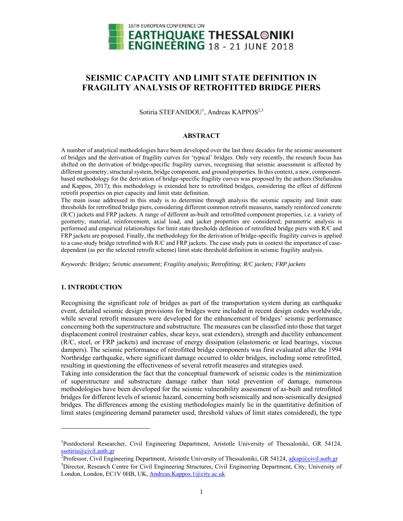

# **SEISMIC CAPACITY AND LIMIT STATE DEFINITION IN FRAGILITY ANALYSIS OF RETROFITTED BRIDGE PIERS**

Sotiria STEFANIDOU<sup>1</sup>, Andreas KAPPOS<sup>2,3</sup>

### **ABSTRACT**

A number of analytical methodologies have been developed over the last three decades for the seismic assessment of bridges and the derivation of fragility curves for 'typical' bridges. Only very recently, the research focus has shifted on the derivation of bridge-specific fragility curves, recognising that seismic assessment is affected by different geometry, structural system, bridge component, and ground properties. In this context, a new, componentbased methodology for the derivation of bridge-specific fragility curves was proposed by the authors (Stefanidou and Kappos, 2017); this methodology is extended here to retrofitted bridges, considering the effect of different retrofit properties on pier capacity and limit state definition.

The main issue addressed in this study is to determine through analysis the seismic capacity and limit state thresholds for retrofitted bridge piers, considering different common retrofit measures, namely reinforced concrete (R/C) jackets and FRP jackets. A range of different as-built and retrofitted component properties, i.e. a variety of geometry, material, reinforcement, axial load, and jacket properties are considered; parametric analysis is performed and empirical relationships for limit state thresholds definition of retrofitted bridge piers with R/C and FRP jackets are proposed. Finally, the methodology for the derivation of bridge-specific fragility curves is applied to a case-study bridge retrofitted with R/C and FRP jackets. The case study puts in context the importance of casedependent (as per the selected retrofit scheme) limit state threshold definition in seismic fragility analysis.

*Keywords: Bridges; Seismic assessment; Fragility analysis; Retrofitting; R/C jackets; FRP jackets* 

# **1. INTRODUCTION**

 $\overline{a}$ 

Recognising the significant role of bridges as part of the transportation system during an earthquake event, detailed seismic design provisions for bridges were included in recent design codes worldwide, while several retrofit measures were developed for the enhancement of bridges' seismic performance concerning both the superstructure and substructure. The measures can be classified into those that target displacement control (restrainer cables, shear keys, seat extenders), strength and ductility enhancement (R/C, steel, or FRP jackets) and increase of energy dissipation (elastomeric or lead bearings, viscous dampers). The seismic performance of retrofitted bridge components was first evaluated after the 1994 Northridge earthquake, where significant damage occurred to older bridges, including some retrofitted, resulting in questioning the effectiveness of several retrofit measures and strategies used.

Taking into consideration the fact that the conceptual framework of seismic codes is the minimization of superstructure and substructure damage rather than total prevention of damage, numerous methodologies have been developed for the seismic vulnerability assessment of as-built and retrofitted bridges for different levels of seismic hazard, concerning both seismically and non-seismically designed bridges. The differences among the existing methodologies mainly lie in the quantitative definition of limit states (engineering demand parameter used, threshold values of limit states considered), the type

<sup>&</sup>lt;sup>1</sup>Postdoctoral Researcher, Civil Engineering Department, Aristotle University of Thessaloniki, GR 54124,  $s$ ssotiria@civil.auth.gr

Professor, Civil Engineering Department, Aristotle University of Thessaloniki, GR 54124, ajkap@civil.auth.gr <sup>3</sup>Director, Research Centre for Civil Engineering Structures, Civil Engineering Department, City, University of London, London, EC1V 0HB, UK, Andreas.Kappos.1@city.ac.uk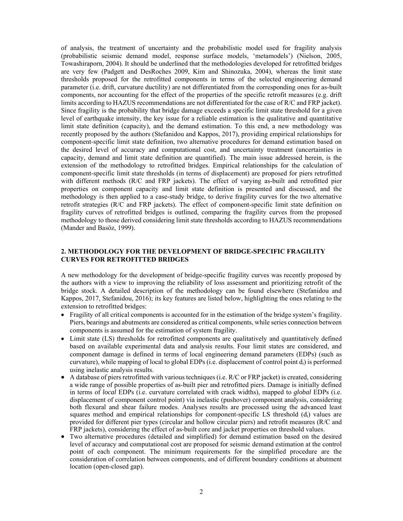of analysis, the treatment of uncertainty and the probabilistic model used for fragility analysis (probabilistic seismic demand model, response surface models, 'metamodels') (Nielson, 2005, Towashiraporn, 2004). It should be underlined that the methodologies developed for retrofitted bridges are very few (Padgett and DesRoches 2009, Kim and Shinozuka, 2004), whereas the limit state thresholds proposed for the retrofitted components in terms of the selected engineering demand parameter (i.e. drift, curvature ductility) are not differentiated from the corresponding ones for as-built components, nor accounting for the effect of the properties of the specific retrofit measures (e.g. drift limits according to HAZUS recommendations are not differentiated for the case of R/C and FRP jacket). Since fragility is the probability that bridge damage exceeds a specific limit state threshold for a given level of earthquake intensity, the key issue for a reliable estimation is the qualitative and quantitative limit state definition (capacity), and the demand estimation. To this end, a new methodology was recently proposed by the authors (Stefanidou and Kappos, 2017), providing empirical relationships for component-specific limit state definition, two alternative procedures for demand estimation based on the desired level of accuracy and computational cost, and uncertainty treatment (uncertainties in capacity, demand and limit state definition are quantified). The main issue addressed herein, is the extension of the methodology to retrofitted bridges. Empirical relationships for the calculation of component-specific limit state thresholds (in terms of displacement) are proposed for piers retrofitted with different methods (R/C and FRP jackets). The effect of varying as-built and retrofitted pier properties on component capacity and limit state definition is presented and discussed, and the methodology is then applied to a case-study bridge, to derive fragility curves for the two alternative retrofit strategies (R/C and FRP jackets). The effect of component-specific limit state definition on fragility curves of retrofitted bridges is outlined, comparing the fragility curves from the proposed methodology to those derived considering limit state thresholds according to HAZUS recommendations (Mander and Basöz, 1999).

## **2. METHODOLOGY FOR THE DEVELOPMENT OF BRIDGE-SPECIFIC FRAGILITY CURVES FOR RETROFITTED BRIDGES**

A new methodology for the development of bridge-specific fragility curves was recently proposed by the authors with a view to improving the reliability of loss assessment and prioritizing retrofit of the bridge stock. A detailed description of the methodology can be found elsewhere (Stefanidou and Kappos, 2017, Stefanidou, 2016); its key features are listed below, highlighting the ones relating to the extension to retrofitted bridges:

- Fragility of all critical components is accounted for in the estimation of the bridge system's fragility. Piers, bearings and abutments are considered as critical components, while series connection between components is assumed for the estimation of system fragility.
- Limit state (LS) thresholds for retrofitted components are qualitatively and quantitatively defined based on available experimental data and analysis results. Four limit states are considered, and component damage is defined in terms of local engineering demand parameters (EDPs) (such as curvature), while mapping of local to global EDPs (i.e. displacement of control point  $d_i$ ) is performed using inelastic analysis results.
- A database of piers retrofitted with various techniques (i.e. R/C or FRP jacket) is created, considering a wide range of possible properties of as-built pier and retrofitted piers. Damage is initially defined in terms of *local* EDPs (i.e. curvature correlated with crack widths), mapped to *global* EDPs (i.e. displacement of component control point) via inelastic (pushover) component analysis, considering both flexural and shear failure modes. Analyses results are processed using the advanced least squares method and empirical relationships for component-specific LS threshold  $(d<sub>i</sub>)$  values are provided for different pier types (circular and hollow circular piers) and retrofit measures (R/C and FRP jackets), considering the effect of as-built core and jacket properties on threshold values.
- Two alternative procedures (detailed and simplified) for demand estimation based on the desired level of accuracy and computational cost are proposed for seismic demand estimation at the control point of each component. The minimum requirements for the simplified procedure are the consideration of correlation between components, and of different boundary conditions at abutment location (open-closed gap).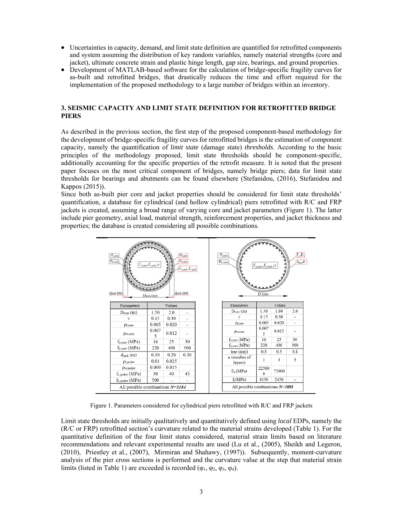- Uncertainties in capacity, demand, and limit state definition are quantified for retrofitted components and system assuming the distribution of key random variables, namely material strengths (core and jacket), ultimate concrete strain and plastic hinge length, gap size, bearings, and ground properties.
- Development of MATLAB-based software for the calculation of bridge-specific fragility curves for as-built and retrofitted bridges, that drastically reduces the time and effort required for the implementation of the proposed methodology to a large number of bridges within an inventory.

## **3. SEISMIC CAPACITY AND LIMIT STATE DEFINITION FOR RETROFITTED BRIDGE PIERS**

As described in the previous section, the first step of the proposed component-based methodology for the development of bridge-specific fragility curves for retrofitted bridges is the estimation of component capacity, namely the quantification of *limit state* (damage state) *thresholds*. According to the basic principles of the methodology proposed, limit state thresholds should be component-specific, additionally accounting for the specific properties of the retrofit measure. It is noted that the present paper focuses on the most critical component of bridges, namely bridge piers; data for limit state thresholds for bearings and abutments can be found elsewhere (Stefanidou, (2016), Stefanidou and Kappos (2015)).

Since both as-built pier core and jacket properties should be considered for limit state thresholds' quantification, a database for cylindrical (and hollow cylindrical) piers retrofitted with R/C and FRP jackets is created, assuming a broad range of varying core and jacket parameters (Figure 1). The latter include pier geometry, axial load, material strength, reinforcement properties, and jacket thickness and properties; the database is created considering all possible combinations.

| $\rho_{l,core}$<br>$\rho_{w,core}$<br>djack (m)       | $f_{c,core}, f_{y,core}, v$<br>Dcore (m) |               | $\rho_{\text{task}}$<br>Pwjack<br>f <sub>cjack</sub> , f <sub>yjack</sub><br>djack (m) | P <sub>Lcore</sub><br>$\rho_{w,core}$ | $f_{c,core}, f_{y,core}, v$<br>$\overline{D(m)}$ |        | $f_i, E_i$<br>$t_{fvp}$ ,n |
|-------------------------------------------------------|------------------------------------------|---------------|----------------------------------------------------------------------------------------|---------------------------------------|--------------------------------------------------|--------|----------------------------|
| Parameters                                            |                                          | Values        |                                                                                        | Parameters                            |                                                  | Values |                            |
| $D_{\text{core}}(m)$                                  | 1.50                                     | 2.0           |                                                                                        | $Dcore$ (m)                           | 1.50                                             | 1.80   | 2.0                        |
| $\mathbf{v}$                                          | 0.15                                     | 0.30          |                                                                                        | ν                                     | 0.15                                             | 0.30   |                            |
| $\rho_{1,\text{core}}$                                | 0.005                                    | 0.020         |                                                                                        | $\rho_{l,core}$                       | 0.005                                            | 0.020  |                            |
|                                                       |                                          |               |                                                                                        |                                       | 0.007                                            |        |                            |
| $\rho_{w,core}$                                       | 0.007                                    | 0.012         |                                                                                        | $\rho_{\text{w,core}}$                | 5                                                | 0.012  |                            |
|                                                       | 5<br>16                                  | 25            | 30                                                                                     | fc,core (MPa)                         | 16                                               | 25     | 30                         |
| $f_{c,core}$ (MPa)                                    |                                          | 400           | 500                                                                                    | $f_{y,core}(MPa)$                     | 220                                              | 400    | 500                        |
| $f_{y,core}$ (MPa)                                    | 220                                      |               |                                                                                        | trap(mm)                              | 0.3                                              | 0.5    | 0.8                        |
| $d_{\text{jack}}\left(m\right)$<br>$\rho_{1, iacket}$ | 0.10<br>0.01                             | 0.20<br>0.025 | 0.30                                                                                   | n (number of<br>layers)               | 1                                                | 3      | 5                          |
| $\rho_{w, \text{jacket}}$                             | 0.009                                    | 0.015         |                                                                                        |                                       | 22500                                            |        |                            |
| fc.jacket (MPa)                                       | 30                                       | 40            | 45                                                                                     | $E_i(MPa)$                            | 0                                                | 75000  |                            |

Figure 1. Parameters considered for cylindrical piers retrofitted with R/C and FRP jackets

Limit state thresholds are initially qualitatively and quantitatively defined using *local* EDPs, namely the (R/C or FRP) retrofitted section's curvature related to the material strains developed (Table 1). For the quantitative definition of the four limit states considered, material strain limits based on literature recommendations and relevant experimental results are used (Lu et al., (2005), Sheikh and Legeron, (2010), Priestley et al., (2007), Mirmiran and Shahawy, (1997)). Subsequently, moment-curvature analysis of the pier cross sections is performed and the curvature value at the step that material strain limits (listed in Table 1) are exceeded is recorded ( $\varphi_1$ ,  $\varphi_2$ ,  $\varphi_3$ ,  $\varphi_4$ ).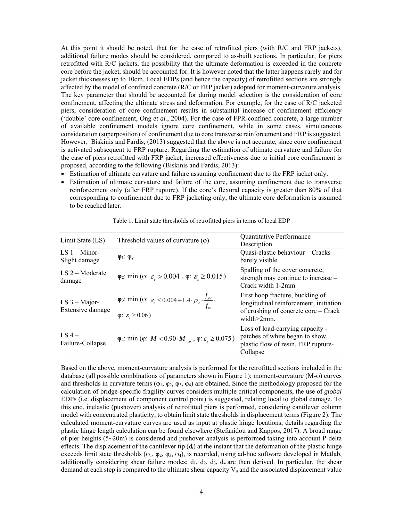At this point it should be noted, that for the case of retrofitted piers (with R/C and FRP jackets), additional failure modes should be considered, compared to as-built sections. In particular, for piers retrofitted with R/C jackets, the possibility that the ultimate deformation is exceeded in the concrete core before the jacket, should be accounted for. It is however noted that the latter happens rarely and for jacket thicknesses up to 10cm. Local EDPs (and hence the capacity) of retrofitted sections are strongly affected by the model of confined concrete (R/C or FRP jacket) adopted for moment-curvature analysis. The key parameter that should be accounted for during model selection is the consideration of core confinement, affecting the ultimate stress and deformation. For example, for the case of R/C jacketed piers, consideration of core confinement results in substantial increase of confinement efficiency ('double' core confinement, Ong *et al.*, 2004). For the case of FPR-confined concrete, a large number of available confinement models ignore core confinement, while in some cases, simultaneous consideration (superposition) of confinement due to core transverse reinforcement and FRP is suggested. However, Biskinis and Fardis, (2013) suggested that the above is not accurate, since core confinement is activated subsequent to FRP rupture. Regarding the estimation of ultimate curvature and failure for the case of piers retrofitted with FRP jacket, increased effectiveness due to initial core confinement is proposed, according to the following (Biskinis and Fardis, 2013):

- Estimation of ultimate curvature and failure assuming confinement due to the FRP jacket only.
- Estimation of ultimate curvature and failure of the core, assuming confinement due to transverse reinforcement only (after FRP rupture). If the core's flexural capacity is greater than 80% of that corresponding to confinement due to FRP jacketing only, the ultimate core deformation is assumed to be reached later.

| Limit State (LS)                     | Threshold values of curvature $(\varphi)$                                                                                                                          | Quantitative Performance<br>Description                                                                                               |
|--------------------------------------|--------------------------------------------------------------------------------------------------------------------------------------------------------------------|---------------------------------------------------------------------------------------------------------------------------------------|
| $LS 1 - Minor-$<br>Slight damage     | $\varphi_1$ : $\varphi_v$                                                                                                                                          | Quasi-elastic behaviour - Cracks<br>barely visible.                                                                                   |
| $LS$ 2 – Moderate<br>damage          | $\varphi_2$ : min ( $\varphi$ : $\varepsilon > 0.004$ , $\varphi$ : $\varepsilon \ge 0.015$ )                                                                      | Spalling of the cover concrete;<br>strength may continue to increase –<br>Crack width 1-2mm.                                          |
| LS $3 - Major$ -<br>Extensive damage | <b><math>\varphi_3</math>:</b> min ( $\varphi$ : $\varepsilon_c \leq 0.004 + 1.4 \cdot \rho_w \cdot \frac{f_{yw}}{f_w}$ ,<br>$\varphi$ : $\varepsilon \geq 0.06$ ) | First hoop fracture, buckling of<br>longitudinal reinforcement, initiation<br>of crushing of concrete core – Crack<br>$width > 2mm$ . |
| LS $4-$<br>Failure-Collapse          | $\varphi_4$ : min ( $\varphi$ : <i>M</i> < 0.90 · <i>M</i> <sub>max</sub> , $\varphi$ : $\varepsilon \ge 0.075$ )                                                  | Loss of load-carrying capacity -<br>patches of white began to show,<br>plastic flow of resin, FRP rupture-<br>Collapse                |

Table 1. Limit state thresholds of retrofitted piers in terms of local EDP

Based on the above, moment-curvature analysis is performed for the retrofitted sections included in the database (all possible combinations of parameters shown in Figure 1); moment-curvature (M-φ) curves and thresholds in curvature terms  $(\varphi_1, \varphi_2, \varphi_3, \varphi_4)$  are obtained. Since the methodology proposed for the calculation of bridge-specific fragility curves considers multiple critical components, the use of *global* EDPs (i.e. displacement of component control point) is suggested, relating local to global damage. To this end, inelastic (pushover) analysis of retrofitted piers is performed, considering cantilever column model with concentrated plasticity, to obtain limit state thresholds in displacement terms (Figure 2). The calculated moment-curvature curves are used as input at plastic hinge locations; details regarding the plastic hinge length calculation can be found elsewhere (Stefanidou and Kappos, 2017). A broad range of pier heights (5~20m) is considered and pushover analysis is performed taking into account P-delta effects. The displacement of the cantilever tip  $(d<sub>i</sub>)$  at the instant that the deformation of the plastic hinge exceeds limit state thresholds ( $\varphi_1$ ,  $\varphi_2$ ,  $\varphi_3$ ,  $\varphi_4$ ), is recorded, using ad-hoc software developed in Matlab, additionally considering shear failure modes;  $d_1$ ,  $d_2$ ,  $d_3$ ,  $d_4$  are then derived. In particular, the shear demand at each step is compared to the ultimate shear capacity  $V_u$  and the associated displacement value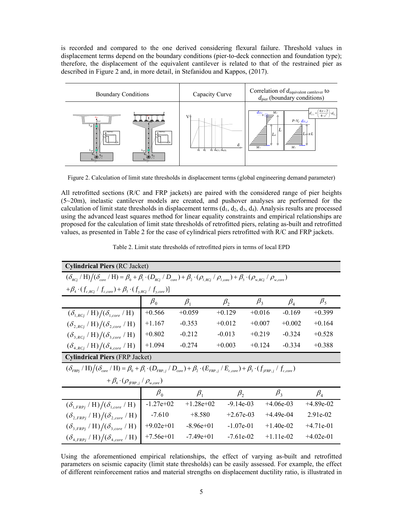is recorded and compared to the one derived considering flexural failure. Threshold values in displacement terms depend on the boundary conditions (pier-to-deck connection and foundation type); therefore, the displacement of the equivalent cantilever is related to that of the restrained pier as described in Figure 2 and, in more detail, in Stefanidou and Kappos, (2017).



Figure 2. Calculation of limit state thresholds in displacement terms (global engineering demand parameter)

All retrofitted sections (R/C and FRP jackets) are paired with the considered range of pier heights  $(5~20m)$ , inelastic cantilever models are created, and pushover analyses are performed for the calculation of limit state thresholds in displacement terms  $(d_1, d_2, d_3, d_4)$ . Analysis results are processed using the advanced least squares method for linear equality constraints and empirical relationships are proposed for the calculation of limit state thresholds of retrofitted piers, relating as-built and retrofitted values, as presented in Table 2 for the case of cylindrical piers retrofitted with R/C and FRP jackets.

| <b>Cylindrical Piers (RC Jacket)</b>                                                                                                                                                                                             |             |             |             |             |                                |             |  |
|----------------------------------------------------------------------------------------------------------------------------------------------------------------------------------------------------------------------------------|-------------|-------------|-------------|-------------|--------------------------------|-------------|--|
| $(\delta_{_{RC}}/$ H) $/(\delta_{_{core}}/$ H) = $\beta_{_0}$ + $\beta_{_1} \cdot (D_{_{RC}}/D_{_{core}})$ + $\beta_{_2} \cdot (\rho_{_{l, RCj}}/ \rho_{_{l, core}})$ + $\beta_{_3} \cdot (\rho_{_{w, RCj}}/ \rho_{_{w, core}})$ |             |             |             |             |                                |             |  |
| $+\beta_{4}\cdot(f_{c,RCI}/f_{c.core})+\beta_{5}\cdot(f_{v,RCI}/f_{v.core})$                                                                                                                                                     |             |             |             |             |                                |             |  |
|                                                                                                                                                                                                                                  | $\beta_0$   | $\beta_1$   | $\beta$ ,   | $\beta_{3}$ | $\beta_{\scriptscriptstyle 4}$ | $\beta_{5}$ |  |
| $(\delta_{1,RCi} / H)/(\delta_{1,core} / H)$                                                                                                                                                                                     | $+0.566$    | $+0.059$    | $+0.129$    | $+0.016$    | $-0.169$                       | $+0.399$    |  |
| $(\delta_{2,RCi}/\mathrm{H})/(\delta_{2,core}/\mathrm{H})$                                                                                                                                                                       | $+1.167$    | $-0.353$    | $+0.012$    | $+0.007$    | $+0.002$                       | $+0.164$    |  |
| $(\delta_{3,RCi}/\mathrm{H})/(\delta_{3,core}/\mathrm{H})$                                                                                                                                                                       | $+0.802$    | $-0.212$    | $-0.013$    | $+0.219$    | $-0.324$                       | $+0.528$    |  |
| $(\delta_{4,RCi}/\mathrm{H})/(\delta_{4,core}/\mathrm{H})$                                                                                                                                                                       | $+1.094$    | $-0.274$    | $+0.003$    | $+0.124$    | $-0.334$                       | $+0.388$    |  |
| <b>Cylindrical Piers (FRP Jacket)</b>                                                                                                                                                                                            |             |             |             |             |                                |             |  |
| $(\delta_{FRP_i} / H) / (\delta_{core} / H) = \beta_0 + \beta_1 \cdot (D_{FRP,j} / D_{core}) + \beta_2 \cdot (E_{FRP,j} / E_{c,core}) + \beta_3 \cdot (f_{jFRP,j} / f_{c,core})$                                                 |             |             |             |             |                                |             |  |
| $+ \beta_{4} \cdot (\rho_{f\!F\!R\!P,i} / \rho_{w,core})$                                                                                                                                                                        |             |             |             |             |                                |             |  |
|                                                                                                                                                                                                                                  | $\beta_0$   | $\beta_1$   | $\beta$     |             | $\beta_3$                      | $\beta_4$   |  |
| $(\delta_{1,FRP_i} / H) / (\delta_{1,core} / H)$                                                                                                                                                                                 | $-1.27e+02$ | $+1.28e+02$ | $-9.14e-03$ |             | $+4.06e-03$                    | $+4.89e-02$ |  |
| $(\delta_{2,FRPi}/\mathrm{H})/(\delta_{2,core}/\mathrm{H})$                                                                                                                                                                      | $-7.610$    | $+8.580$    | $+2.67e-03$ |             | $+4.49e-04$                    | $2.91e-02$  |  |
| $(\delta_{3.FRPi}/\mathrm{H})/(\delta_{3.core}/\mathrm{H})$                                                                                                                                                                      | $+9.02e+01$ | $-8.96e+01$ | $-1.07e-01$ |             | $+1.40e-02$                    | $+4.71e-01$ |  |
| $(\delta_{4,FRP_i} / H) / (\delta_{4,core} / H)$                                                                                                                                                                                 | $+7.56e+01$ | $-7.49e+01$ | $-7.61e-02$ |             | $+1.11e-02$                    | $+4.02e-01$ |  |

Using the aforementioned empirical relationships, the effect of varying as-built and retrofitted parameters on seismic capacity (limit state thresholds) can be easily assessed. For example, the effect of different reinforcement ratios and material strengths on displacement ductility ratio, is illustrated in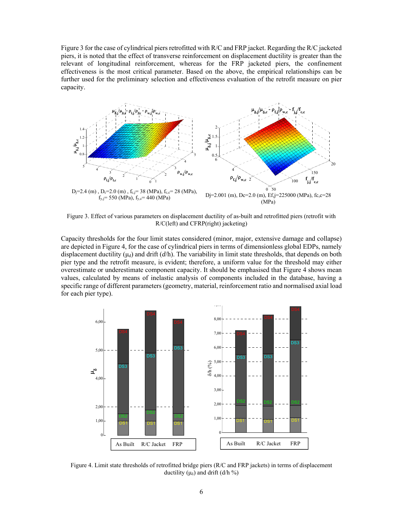Figure 3 for the case of cylindrical piers retrofitted with R/C and FRP jacket. Regarding the R/C jacketed piers, it is noted that the effect of transverse reinforcement on displacement ductility is greater than the relevant of longitudinal reinforcement, whereas for the FRP jacketed piers, the confinement effectiveness is the most critical parameter. Based on the above, the empirical relationships can be further used for the preliminary selection and effectiveness evaluation of the retrofit measure on pier capacity.



Figure 3. Effect of various parameters on displacement ductility of as-built and retrofitted piers (retrofit with R/C(left) and CFRP(right) jacketing)

Capacity thresholds for the four limit states considered (minor, major, extensive damage and collapse) are depicted in Figure 4, for the case of cylindrical piers in terms of dimensionless global EDPs, namely displacement ductility  $(\mu_d)$  and drift  $(d/h)$ . The variability in limit state thresholds, that depends on both pier type and the retrofit measure, is evident; therefore, a uniform value for the threshold may either overestimate or underestimate component capacity. It should be emphasised that Figure 4 shows mean values, calculated by means of inelastic analysis of components included in the database, having a specific range of different parameters (geometry, material, reinforcement ratio and normalised axial load for each pier type).



Figure 4. Limit state thresholds of retrofitted bridge piers (R/C and FRP jackets) in terms of displacement ductility ( $\mu_{\delta}$ ) and drift (d/h %)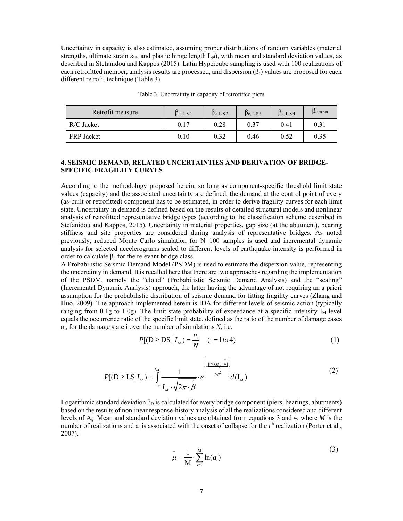Uncertainty in capacity is also estimated, assuming proper distributions of random variables (material strengths, ultimate strain  $\varepsilon_{cu}$ , and plastic hinge length  $L_{pl}$ ), with mean and standard deviation values, as described in Stefanidou and Kappos (2015). Latin Hypercube sampling is used with 100 realizations of each retrofitted member, analysis results are processed, and dispersion  $(\beta_c)$  values are proposed for each different retrofit technique (Table 3).

| Retrofit measure  | $\beta_{c, L.S.1}$ | $\beta_{c, L.S.2}$ | $p_{c, L.S.3}$ | $\beta_{c, L.S.4}$ | $P_{c,mean}$ |
|-------------------|--------------------|--------------------|----------------|--------------------|--------------|
| $R/C$ Jacket      | 0.17               | 0.28               | 0.37           | 0.41               | 0.31         |
| <b>FRP</b> Jacket | 0.10               | 0.32               | 0.46           | 0.52               | 0.35         |

Table 3. Uncertainty in capacity of retrofitted piers

## **4. SEISMIC DEMAND, RELATED UNCERTAINTIES AND DERIVATION OF BRIDGE-SPECIFIC FRAGILITY CURVES**

According to the methodology proposed herein, so long as component-specific threshold limit state values (capacity) and the associated uncertainty are defined, the demand at the control point of every (as-built or retrofitted) component has to be estimated, in order to derive fragility curves for each limit state. Uncertainty in demand is defined based on the results of detailed structural models and nonlinear analysis of retrofitted representative bridge types (according to the classification scheme described in Stefanidou and Kappos, 2015). Uncertainty in material properties, gap size (at the abutment), bearing stiffness and site properties are considered during analysis of representative bridges. As noted previously, reduced Monte Carlo simulation for  $N=100$  samples is used and incremental dynamic analysis for selected accelerograms scaled to different levels of earthquake intensity is performed in order to calculate  $\beta_d$  for the relevant bridge class.

A Probabilistic Seismic Demand Model (PSDM) is used to estimate the dispersion value, representing the uncertainty in demand. It is recalled here that there are two approaches regarding the implementation of the PSDM, namely the "cloud" (Probabilistic Seismic Demand Analysis) and the "scaling" (Incremental Dynamic Analysis) approach, the latter having the advantage of not requiring an a priori assumption for the probabilistic distribution of seismic demand for fitting fragility curves (Zhang and Huo, 2009). The approach implemented herein is IDA for different levels of seismic action (typically ranging from 0.1g to 1.0g). The limit state probability of exceedance at a specific intensity  $I_M$  level equals the occurrence ratio of the specific limit state, defined as the ratio of the number of damage cases ni, for the damage state i over the number of simulations *N*, i.e.

$$
P[(D \ge DS_i | I_M) = \frac{n_i}{N} \quad (i = 1 \text{ to } 4)
$$
 (1)

$$
P[(\mathbf{D} \ge \mathbf{L}\mathbf{S} | I_M) = \int_{-\infty}^{I_M} \frac{1}{I_M \cdot \sqrt{2\pi \cdot \hat{\beta}}} \cdot e^{\left\{\frac{\left[\ln(I_M) - \hat{\mu}\right]}{\hat{\lambda}}\right\}} d(I_M)
$$
(2)

Logarithmic standard deviation  $\beta_D$  is calculated for every bridge component (piers, bearings, abutments) based on the results of nonlinear response-history analysis of all the realizations considered and different levels of Ag. Mean and standard deviation values are obtained from equations 3 and 4, where *M* is the number of realizations and a<sub>i</sub> is associated with the onset of collapse for the *i*<sup>th</sup> realization (Porter et al., 2007).

$$
\hat{\mu} = \frac{1}{M} \cdot \sum_{i=1}^{M} \ln(a_i)
$$
\n(3)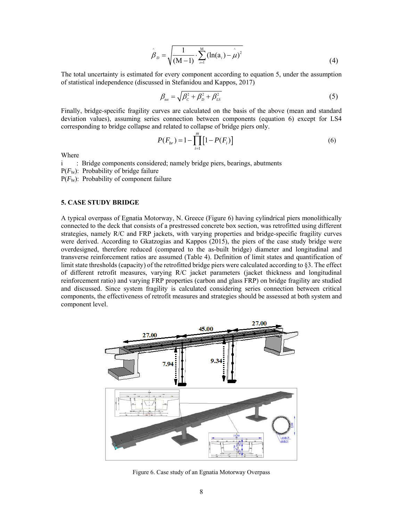$$
\hat{\beta}_D = \sqrt{\frac{1}{(M-1)} \cdot \sum_{i=1}^{M} (\ln(a_i) - \hat{\mu})^2}
$$
(4)

The total uncertainty is estimated for every component according to equation 5, under the assumption of statistical independence (discussed in Stefanidou and Kappos, 2017)

$$
\beta_{\scriptscriptstyle tot} = \sqrt{\beta_c^2 + \beta_b^2 + \beta_{\scriptscriptstyle LS}^2} \tag{5}
$$

Finally, bridge-specific fragility curves are calculated on the basis of the above (mean and standard deviation values), assuming series connection between components (equation 6) except for LS4 corresponding to bridge collapse and related to collapse of bridge piers only.

$$
P(F_{br}) = 1 - \prod_{i=1}^{m} [1 - P(F_i)] \tag{6}
$$

Where

i : Bridge components considered; namely bridge piers, bearings, abutments

P(*F*br): Probability of bridge failure

P(*F*br): Probability of component failure

### **5. CASE STUDY BRIDGE**

A typical overpass of Egnatia Motorway, N. Greece (Figure 6) having cylindrical piers monolithically connected to the deck that consists of a prestressed concrete box section, was retrofitted using different strategies, namely R/C and FRP jackets, with varying properties and bridge-specific fragility curves were derived. According to Gkatzogias and Kappos (2015), the piers of the case study bridge were overdesigned, therefore reduced (compared to the as-built bridge) diameter and longitudinal and transverse reinforcement ratios are assumed (Table 4). Definition of limit states and quantification of limit state thresholds (capacity) of the retrofitted bridge piers were calculated according to §3. The effect of different retrofit measures, varying R/C jacket parameters (jacket thickness and longitudinal reinforcement ratio) and varying FRP properties (carbon and glass FRP) on bridge fragility are studied and discussed. Since system fragility is calculated considering series connection between critical components, the effectiveness of retrofit measures and strategies should be assessed at both system and component level.



Figure 6. Case study of an Egnatia Motorway Overpass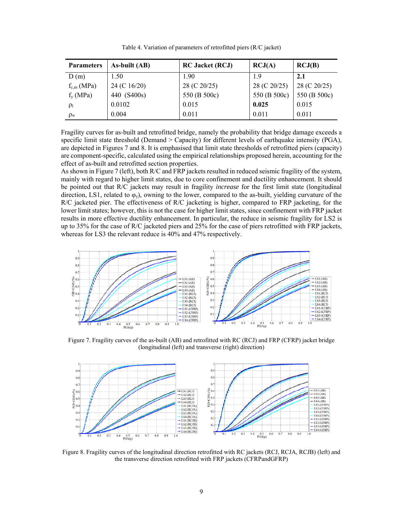| <b>Parameters</b> | As-built (AB) | <b>RC Jacket (RCJ)</b> | RCJ(A)       | RCJ(B)       |
|-------------------|---------------|------------------------|--------------|--------------|
| D(m)              | 1.50          | 1.90                   | 1.9          | 2.1          |
| $f_{c,m}$ (MPa)   | 24 (C 16/20)  | 28 (C 20/25)           | 28 (C 20/25) | 28 (C 20/25) |
| $f_{y}$ (MPa)     | 440 (S400s)   | 550 (B 500c)           | 550 (B 500c) | 550 (B 500c) |
| $\rho_1$          | 0.0102        | 0.015                  | 0.025        | 0.015        |
| $\rho_{\rm w}$    | 0.004         | 0.011                  | 0.011        | 0.011        |

Table 4. Variation of parameters of retrofitted piers (R/C jacket)

Fragility curves for as-built and retrofitted bridge, namely the probability that bridge damage exceeds a specific limit state threshold (Demand  $>$  Capacity) for different levels of earthquake intensity (PGA), are depicted in Figures 7 and 8. It is emphasised that limit state thresholds of retrofitted piers (capacity) are component-specific, calculated using the empirical relationships proposed herein, accounting for the effect of as-built and retrofitted section properties.

As shown in Figure 7 (left), both R/C and FRP jackets resulted in reduced seismic fragility of the system, mainly with regard to higher limit states, due to core confinement and ductility enhancement. It should be pointed out that R/C jackets may result in fragility *increase* for the first limit state (longitudinal direction, LS1, related to  $\varphi_y$ ), owning to the lower, compared to the as-built, yielding curvature of the R/C jacketed pier. The effectiveness of R/C jacketing is higher, compared to FRP jacketing, for the lower limit states; however, this is not the case for higher limit states, since confinement with FRP jacket results in more effective ductility enhancement. In particular, the reduce in seismic fragility for LS2 is up to 35% for the case of R/C jacketed piers and 25% for the case of piers retrofitted with FRP jackets, whereas for LS3 the relevant reduce is 40% and 47% respectively.



Figure 7. Fragility curves of the as-built (AB) and retrofitted with RC (RCJ) and FRP (CFRP) jacket bridge (longitudinal (left) and transverse (right) direction)



Figure 8. Fragility curves of the longitudinal direction retrofitted with RC jackets (RCJ, RCJA, RCJB) (left) and the transverse direction retrofitted with FRP jackets (CFRPandGFRP)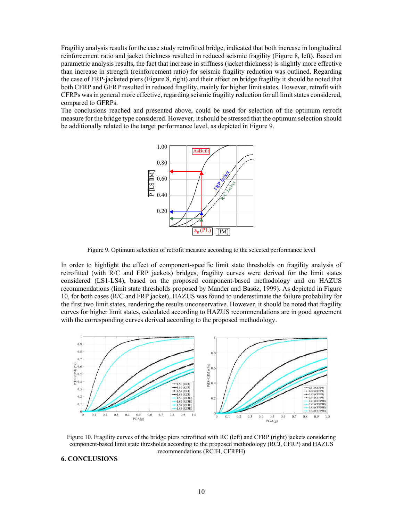Fragility analysis results for the case study retrofitted bridge, indicated that both increase in longitudinal reinforcement ratio and jacket thickness resulted in reduced seismic fragility (Figure 8, left). Based on parametric analysis results, the fact that increase in stiffness (jacket thickness) is slightly more effective than increase in strength (reinforcement ratio) for seismic fragility reduction was outlined. Regarding the case of FRP-jacketed piers (Figure 8, right) and their effect on bridge fragility it should be noted that both CFRP and GFRP resulted in reduced fragility, mainly for higher limit states. However, retrofit with CFRPs was in general more effective, regarding seismic fragility reduction for all limit states considered, compared to GFRPs.

The conclusions reached and presented above, could be used for selection of the optimum retrofit measure for the bridge type considered. However, it should be stressed that the optimum selection should be additionally related to the target performance level, as depicted in Figure 9.



Figure 9. Optimum selection of retrofit measure according to the selected performance level

In order to highlight the effect of component-specific limit state thresholds on fragility analysis of retrofitted (with R/C and FRP jackets) bridges, fragility curves were derived for the limit states considered (LS1-LS4), based on the proposed component-based methodology and on HAZUS recommendations (limit state thresholds proposed by Mander and Basöz, 1999). As depicted in Figure 10, for both cases (R/C and FRP jacket), HAZUS was found to underestimate the failure probability for the first two limit states, rendering the results unconservative. However, it should be noted that fragility curves for higher limit states, calculated according to HAZUS recommendations are in good agreement with the corresponding curves derived according to the proposed methodology.



Figure 10. Fragility curves of the bridge piers retrofitted with RC (left) and CFRP (right) jackets considering component-based limit state thresholds according to the proposed methodology (RCJ, CFRP) and HAZUS recommendations (RCJH, CFRPH)

**6. CONCLUSIONS**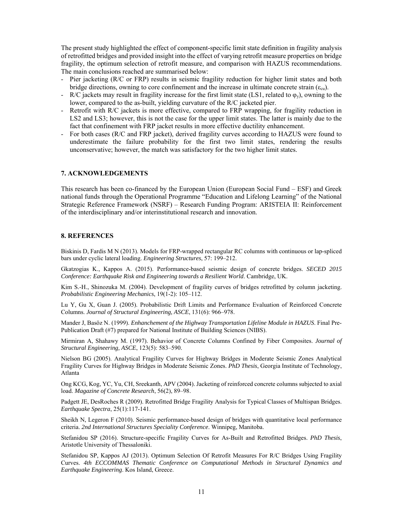The present study highlighted the effect of component-specific limit state definition in fragility analysis of retrofitted bridges and provided insight into the effect of varying retrofit measure properties on bridge fragility, the optimum selection of retrofit measure, and comparison with HAZUS recommendations. The main conclusions reached are summarised below:

- Pier jacketing (R/C or FRP) results in seismic fragility reduction for higher limit states and both bridge directions, owning to core confinement and the increase in ultimate concrete strain ( $\varepsilon_{cu}$ ).
- R/C jackets may result in fragility increase for the first limit state (LS1, related to  $\varphi_y$ ), owning to the lower, compared to the as-built, yielding curvature of the R/C jacketed pier.
- Retrofit with R/C jackets is more effective, compared to FRP wrapping, for fragility reduction in LS2 and LS3; however, this is not the case for the upper limit states. The latter is mainly due to the fact that confinement with FRP jacket results in more effective ductility enhancement.
- For both cases (R/C and FRP jacket), derived fragility curves according to HAZUS were found to underestimate the failure probability for the first two limit states, rendering the results unconservative; however, the match was satisfactory for the two higher limit states.

## **7. ACKNOWLEDGEMENTS**

This research has been co-financed by the European Union (European Social Fund – ESF) and Greek national funds through the Operational Programme "Education and Lifelong Learning" of the National Strategic Reference Framework (NSRF) – Research Funding Program: ARISTEIA II: Reinforcement of the interdisciplinary and/or interinstitutional research and innovation.

#### **8. REFERENCES**

Biskinis D, Fardis M N (2013). Models for FRP-wrapped rectangular RC columns with continuous or lap-spliced bars under cyclic lateral loading. *Engineering Structures*, 57: 199–212.

Gkatzogias K., Kappos A. (2015). Performance-based seismic design of concrete bridges. *SECED 2015 Conference: Earthquake Risk and Engineering towards a Resilient World*. Cambridge, UK.

Kim S.-H., Shinozuka M. (2004). Development of fragility curves of bridges retrofitted by column jacketing. *Probabilistic Engineering Mechanics*, 19(1-2): 105–112.

Lu Y, Gu X, Guan J. (2005). Probabilistic Drift Limits and Performance Evaluation of Reinforced Concrete Columns. *Journal of Structural Engineering, ASCE*, 131(6): 966–978.

Mander J, Basöz N. (1999). *Enhanchement of the Highway Transportation Lifeline Module in HAZUS*. Final Pre-Publication Draft (#7) prepared for National Institute of Building Sciences (NIBS).

Mirmiran A, Shahawy M. (1997). Behavior of Concrete Columns Confined by Fiber Composites. *Journal of Structural Engineering, ASCE*, 123(5): 583–590.

Nielson BG (2005). Analytical Fragility Curves for Highway Bridges in Moderate Seismic Zones Analytical Fragility Curves for Highway Bridges in Moderate Seismic Zones. *PhD Thesis*, Georgia Institute of Technology, Atlanta

Ong KCG, Kog, YC, Yu, CH, Sreekanth, APV (2004). Jacketing of reinforced concrete columns subjected to axial load. *Magazine of Concrete Research*, 56(2), 89–98.

Padgett JE, DesRoches R (2009). Retrofitted Bridge Fragility Analysis for Typical Classes of Multispan Bridges. *Earthquake Spectra*, 25(1):117-141.

Sheikh N, Legeron F (2010). Seismic performance-based design of bridges with quantitative local performance criteria. *2nd International Structures Speciality Conference*. Winnipeg, Manitoba.

Stefanidou SP (2016). Structure-specific Fragility Curves for As-Built and Retrofitted Bridges. *PhD Thesis*, Aristotle University of Thessaloniki.

Stefanidou SP, Kappos AJ (2013). Optimum Selection Of Retrofit Measures For R/C Bridges Using Fragility Curves. *4th ECCOMMAS Thematic Conference on Computational Methods in Structural Dynamics and Earthquake Engineering*. Kos Island, Greece.